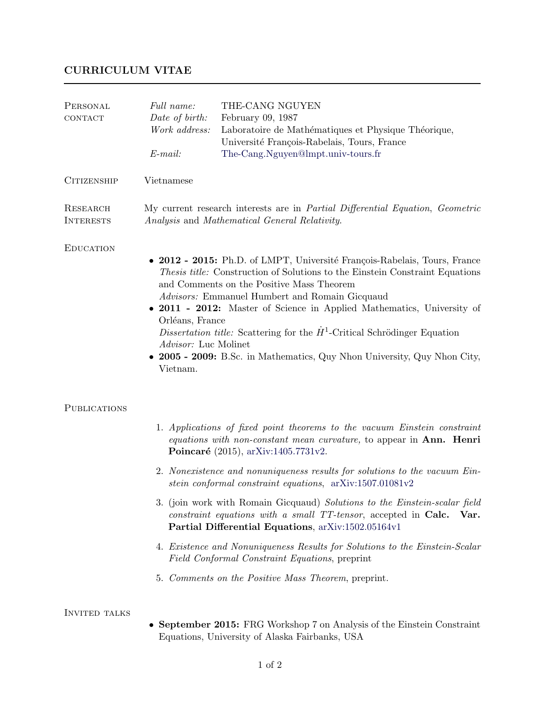## CURRICULUM VITAE

| PERSONAL<br>CONTACT          | Full name:<br>Date of birth:<br>Work address:<br>$E$ -mail:                                                                                                                                                                                                                                                                                                                                                                                                                                                                                                | THE-CANG NGUYEN<br>February 09, 1987<br>Laboratoire de Mathématiques et Physique Théorique,<br>Université François-Rabelais, Tours, France<br>The-Cang.Nguyen@lmpt.univ-tours.fr                           |
|------------------------------|------------------------------------------------------------------------------------------------------------------------------------------------------------------------------------------------------------------------------------------------------------------------------------------------------------------------------------------------------------------------------------------------------------------------------------------------------------------------------------------------------------------------------------------------------------|------------------------------------------------------------------------------------------------------------------------------------------------------------------------------------------------------------|
| <b>CITIZENSHIP</b>           | Vietnamese                                                                                                                                                                                                                                                                                                                                                                                                                                                                                                                                                 |                                                                                                                                                                                                            |
| RESEARCH<br><b>INTERESTS</b> | My current research interests are in <i>Partial Differential Equation</i> , <i>Geometric</i><br>Analysis and Mathematical General Relativity.                                                                                                                                                                                                                                                                                                                                                                                                              |                                                                                                                                                                                                            |
| <b>EDUCATION</b>             | • 2012 - 2015: Ph.D. of LMPT, Université François-Rabelais, Tours, France<br>Thesis title: Construction of Solutions to the Einstein Constraint Equations<br>and Comments on the Positive Mass Theorem<br>Advisors: Emmanuel Humbert and Romain Gicquaud<br>• 2011 - 2012: Master of Science in Applied Mathematics, University of<br>Orléans, France<br>Dissertation title: Scattering for the $\dot{H}^1$ -Critical Schrödinger Equation<br>Advisor: Luc Molinet<br>• 2005 - 2009: B.Sc. in Mathematics, Quy Nhon University, Quy Nhon City,<br>Vietnam. |                                                                                                                                                                                                            |
| <b>PUBLICATIONS</b>          |                                                                                                                                                                                                                                                                                                                                                                                                                                                                                                                                                            |                                                                                                                                                                                                            |
|                              | 1. Applications of fixed point theorems to the vacuum Einstein constraint<br>equations with non-constant mean curvature, to appear in Ann. Henri<br>Poincaré (2015), arXiv:1405.7731v2.                                                                                                                                                                                                                                                                                                                                                                    |                                                                                                                                                                                                            |
|                              |                                                                                                                                                                                                                                                                                                                                                                                                                                                                                                                                                            | 2. Nonexistence and nonuniqueness results for solutions to the vacuum Ein-<br>stein conformal constraint equations, $arXiv:1507.01081v2$                                                                   |
|                              |                                                                                                                                                                                                                                                                                                                                                                                                                                                                                                                                                            | 3. (join work with Romain Gicquaud) Solutions to the Einstein-scalar field<br>constraint equations with a small TT-tensor, accepted in Calc.<br>Var.<br>Partial Differential Equations, arXiv:1502.05164v1 |
|                              |                                                                                                                                                                                                                                                                                                                                                                                                                                                                                                                                                            | 4. Existence and Nonuniqueness Results for Solutions to the Einstein-Scalar<br>Field Conformal Constraint Equations, preprint                                                                              |
|                              |                                                                                                                                                                                                                                                                                                                                                                                                                                                                                                                                                            | 5. Comments on the Positive Mass Theorem, preprint.                                                                                                                                                        |
| <b>INVITED TALKS</b>         |                                                                                                                                                                                                                                                                                                                                                                                                                                                                                                                                                            | • September 2015: FRG Workshop 7 on Analysis of the Einstein Constraint<br>Equations, University of Alaska Fairbanks, USA                                                                                  |